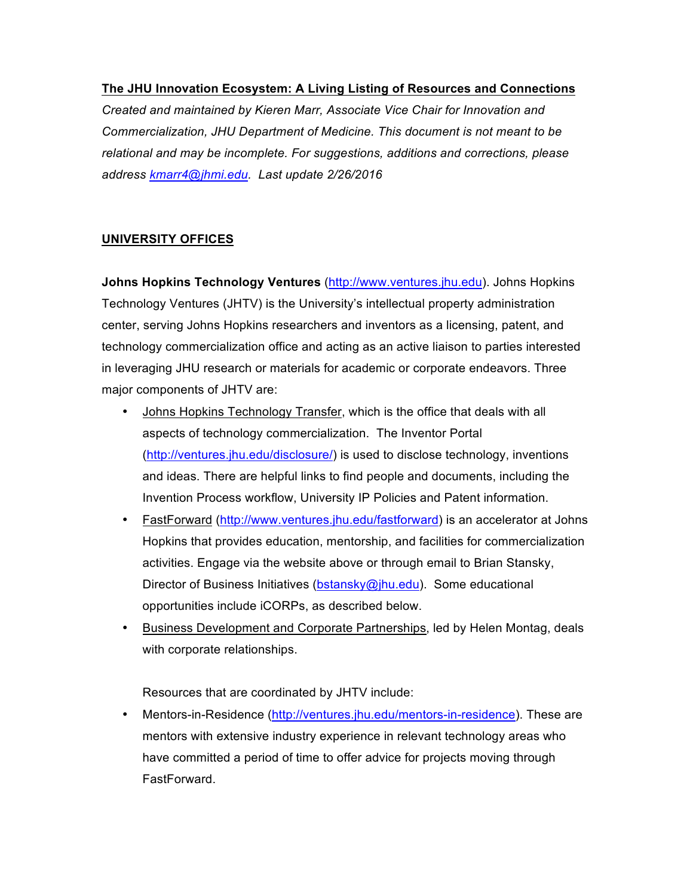#### **The JHU Innovation Ecosystem: A Living Listing of Resources and Connections**

*Created and maintained by Kieren Marr, Associate Vice Chair for Innovation and Commercialization, JHU Department of Medicine. This document is not meant to be relational and may be incomplete. For suggestions, additions and corrections, please address kmarr4@jhmi.edu. Last update 2/26/2016*

### **UNIVERSITY OFFICES**

**Johns Hopkins Technology Ventures** (http://www.ventures.jhu.edu). Johns Hopkins Technology Ventures (JHTV) is the University's intellectual property administration center, serving Johns Hopkins researchers and inventors as a licensing, patent, and technology commercialization office and acting as an active liaison to parties interested in leveraging JHU research or materials for academic or corporate endeavors. Three major components of JHTV are:

- Johns Hopkins Technology Transfer, which is the office that deals with all aspects of technology commercialization. The Inventor Portal (http://ventures.jhu.edu/disclosure/) is used to disclose technology, inventions and ideas. There are helpful links to find people and documents, including the Invention Process workflow, University IP Policies and Patent information.
- FastForward (http://www.ventures.jhu.edu/fastforward) is an accelerator at Johns Hopkins that provides education, mentorship, and facilities for commercialization activities. Engage via the website above or through email to Brian Stansky, Director of Business Initiatives (bstansky@jhu.edu). Some educational opportunities include iCORPs, as described below.
- Business Development and Corporate Partnerships, led by Helen Montag, deals with corporate relationships.

Resources that are coordinated by JHTV include:

• Mentors-in-Residence (http://ventures.jhu.edu/mentors-in-residence). These are mentors with extensive industry experience in relevant technology areas who have committed a period of time to offer advice for projects moving through FastForward.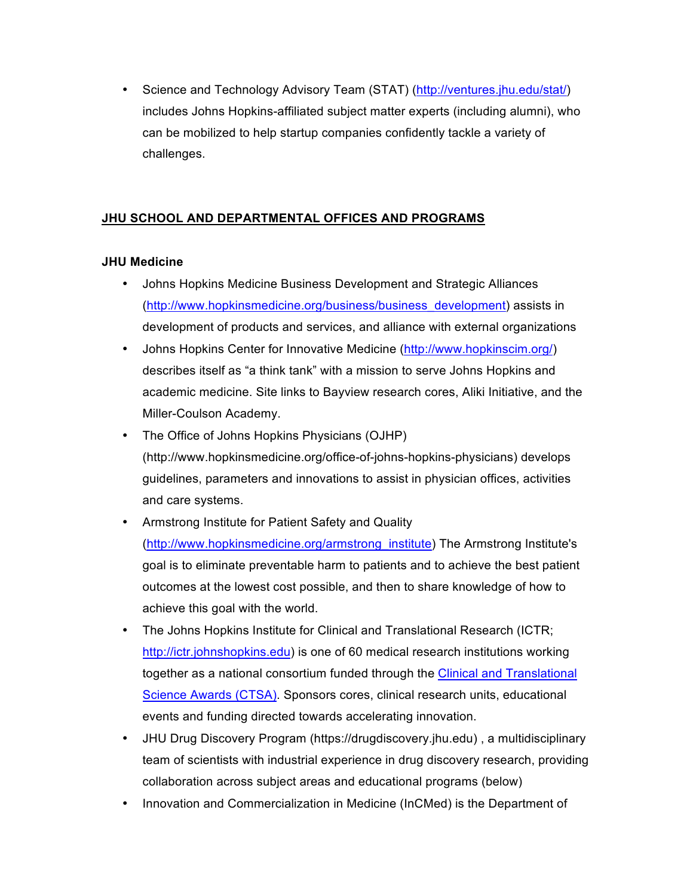• Science and Technology Advisory Team (STAT) (http://ventures.jhu.edu/stat/) includes Johns Hopkins-affiliated subject matter experts (including alumni), who can be mobilized to help startup companies confidently tackle a variety of challenges.

# **JHU SCHOOL AND DEPARTMENTAL OFFICES AND PROGRAMS**

## **JHU Medicine**

- Johns Hopkins Medicine Business Development and Strategic Alliances (http://www.hopkinsmedicine.org/business/business\_development) assists in development of products and services, and alliance with external organizations
- Johns Hopkins Center for Innovative Medicine (http://www.hopkinscim.org/) describes itself as "a think tank" with a mission to serve Johns Hopkins and academic medicine. Site links to Bayview research cores, Aliki Initiative, and the Miller-Coulson Academy.
- The Office of Johns Hopkins Physicians (OJHP) (http://www.hopkinsmedicine.org/office-of-johns-hopkins-physicians) develops guidelines, parameters and innovations to assist in physician offices, activities and care systems.
- Armstrong Institute for Patient Safety and Quality (http://www.hopkinsmedicine.org/armstrong\_institute) The Armstrong Institute's goal is to eliminate preventable harm to patients and to achieve the best patient outcomes at the lowest cost possible, and then to share knowledge of how to achieve this goal with the world.
- The Johns Hopkins Institute for Clinical and Translational Research (ICTR; http://ictr.johnshopkins.edu) is one of 60 medical research institutions working together as a national consortium funded through the Clinical and Translational Science Awards (CTSA). Sponsors cores, clinical research units, educational events and funding directed towards accelerating innovation.
- JHU Drug Discovery Program (https://drugdiscovery.jhu.edu) , a multidisciplinary team of scientists with industrial experience in drug discovery research, providing collaboration across subject areas and educational programs (below)
- Innovation and Commercialization in Medicine (InCMed) is the Department of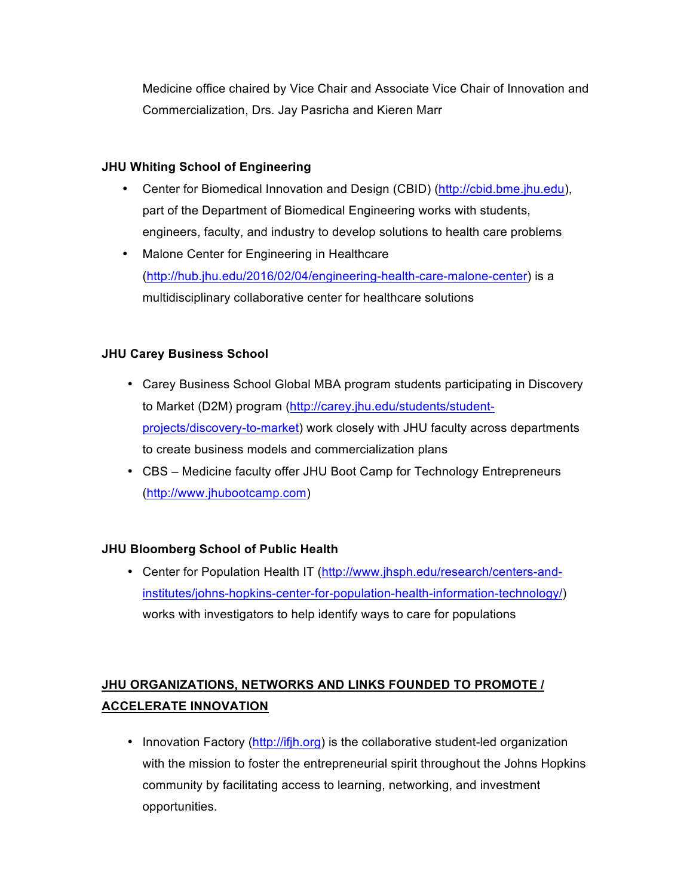Medicine office chaired by Vice Chair and Associate Vice Chair of Innovation and Commercialization, Drs. Jay Pasricha and Kieren Marr

### **JHU Whiting School of Engineering**

- Center for Biomedical Innovation and Design (CBID) (http://cbid.bme.jhu.edu), part of the Department of Biomedical Engineering works with students, engineers, faculty, and industry to develop solutions to health care problems
- Malone Center for Engineering in Healthcare (http://hub.jhu.edu/2016/02/04/engineering-health-care-malone-center) is a multidisciplinary collaborative center for healthcare solutions

## **JHU Carey Business School**

- Carey Business School Global MBA program students participating in Discovery to Market (D2M) program (http://carey.jhu.edu/students/studentprojects/discovery-to-market) work closely with JHU faculty across departments to create business models and commercialization plans
- CBS Medicine faculty offer JHU Boot Camp for Technology Entrepreneurs (http://www.jhubootcamp.com)

# **JHU Bloomberg School of Public Health**

• Center for Population Health IT (http://www.jhsph.edu/research/centers-andinstitutes/johns-hopkins-center-for-population-health-information-technology/) works with investigators to help identify ways to care for populations

# **JHU ORGANIZATIONS, NETWORKS AND LINKS FOUNDED TO PROMOTE / ACCELERATE INNOVATION**

• Innovation Factory (http://ifjh.org) is the collaborative student-led organization with the mission to foster the entrepreneurial spirit throughout the Johns Hopkins community by facilitating access to learning, networking, and investment opportunities.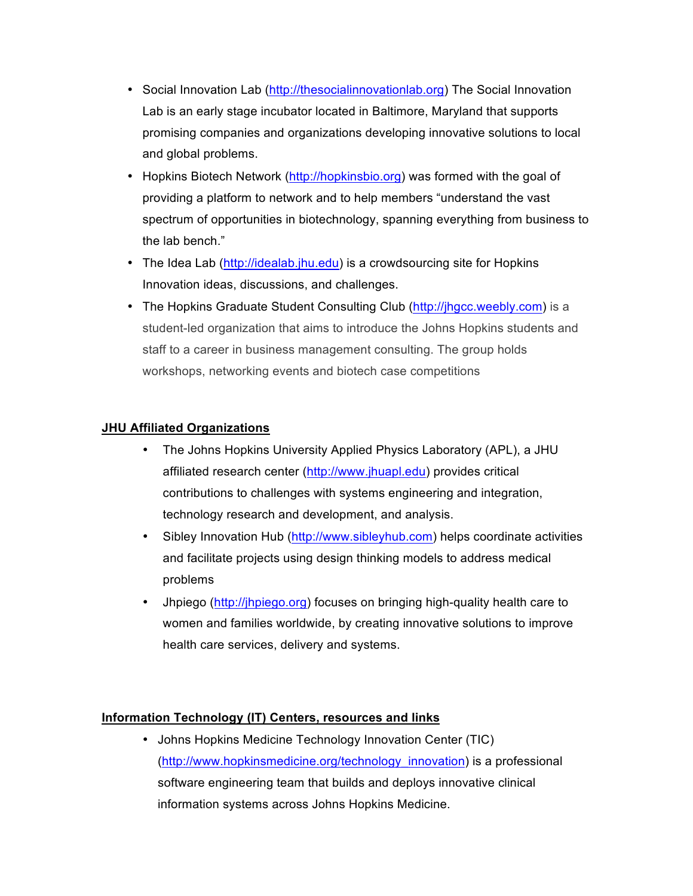- Social Innovation Lab (http://thesocialinnovationlab.org) The Social Innovation Lab is an early stage incubator located in Baltimore, Maryland that supports promising companies and organizations developing innovative solutions to local and global problems.
- Hopkins Biotech Network (http://hopkinsbio.org) was formed with the goal of providing a platform to network and to help members "understand the vast spectrum of opportunities in biotechnology, spanning everything from business to the lab bench."
- The Idea Lab (http://idealab.jhu.edu) is a crowdsourcing site for Hopkins Innovation ideas, discussions, and challenges.
- The Hopkins Graduate Student Consulting Club (http://jhgcc.weebly.com) is a student-led organization that aims to introduce the Johns Hopkins students and staff to a career in business management consulting. The group holds workshops, networking events and biotech case competitions

### **JHU Affiliated Organizations**

- The Johns Hopkins University Applied Physics Laboratory (APL), a JHU affiliated research center (http://www.jhuapl.edu) provides critical contributions to challenges with systems engineering and integration, technology research and development, and analysis.
- Sibley Innovation Hub (http://www.sibleyhub.com) helps coordinate activities and facilitate projects using design thinking models to address medical problems
- Jhpiego (http://jhpiego.org) focuses on bringing high-quality health care to women and families worldwide, by creating innovative solutions to improve health care services, delivery and systems.

### **Information Technology (IT) Centers, resources and links**

• Johns Hopkins Medicine Technology Innovation Center (TIC) (http://www.hopkinsmedicine.org/technology\_innovation) is a professional software engineering team that builds and deploys innovative clinical information systems across Johns Hopkins Medicine.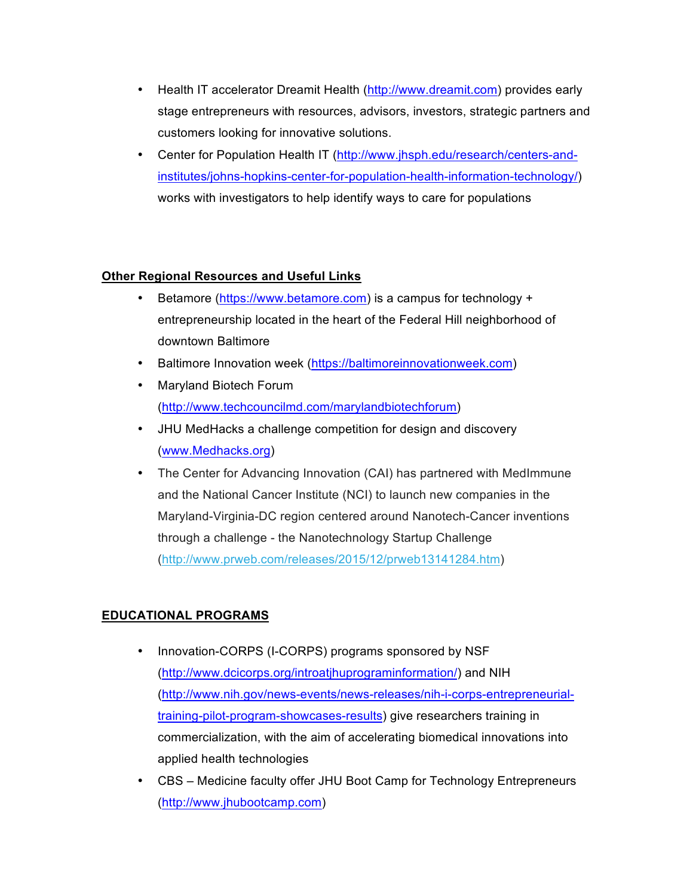- Health IT accelerator Dreamit Health (http://www.dreamit.com) provides early stage entrepreneurs with resources, advisors, investors, strategic partners and customers looking for innovative solutions.
- Center for Population Health IT (http://www.jhsph.edu/research/centers-andinstitutes/johns-hopkins-center-for-population-health-information-technology/) works with investigators to help identify ways to care for populations

### **Other Regional Resources and Useful Links**

- Betamore (https://www.betamore.com) is a campus for technology + entrepreneurship located in the heart of the Federal Hill neighborhood of downtown Baltimore
- Baltimore Innovation week (https://baltimoreinnovationweek.com)
- Maryland Biotech Forum (http://www.techcouncilmd.com/marylandbiotechforum)
- JHU MedHacks a challenge competition for design and discovery (www.Medhacks.org)
- The Center for Advancing Innovation (CAI) has partnered with MedImmune and the National Cancer Institute (NCI) to launch new companies in the Maryland-Virginia-DC region centered around Nanotech-Cancer inventions through a challenge - the Nanotechnology Startup Challenge (http://www.prweb.com/releases/2015/12/prweb13141284.htm)

# **EDUCATIONAL PROGRAMS**

- Innovation-CORPS (I-CORPS) programs sponsored by NSF (http://www.dcicorps.org/introatjhuprograminformation/) and NIH (http://www.nih.gov/news-events/news-releases/nih-i-corps-entrepreneurialtraining-pilot-program-showcases-results) give researchers training in commercialization, with the aim of accelerating biomedical innovations into applied health technologies
- CBS Medicine faculty offer JHU Boot Camp for Technology Entrepreneurs (http://www.jhubootcamp.com)